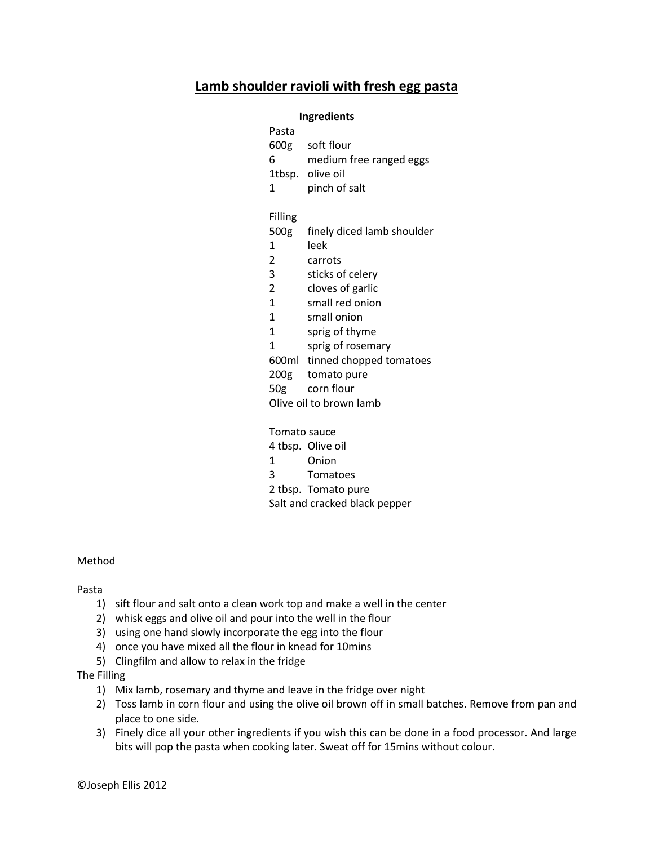# **Lamb shoulder ravioli with fresh egg pasta**

### **Ingredients**

| Pasta                   |                            |
|-------------------------|----------------------------|
| 600g                    | soft flour                 |
| 6                       | medium free ranged eggs    |
|                         | 1tbsp. olive oil           |
| 1                       | pinch of salt              |
| Filling                 |                            |
| 500g                    | finely diced lamb shoulder |
| 1                       | leek                       |
| 2                       | carrots                    |
| 3                       | sticks of celery           |
| $\overline{c}$          | cloves of garlic           |
| $\overline{1}$          | small red onion            |
| $\mathbf{1}$            | small onion                |
| 1                       | sprig of thyme             |
| 1                       | sprig of rosemary          |
| 600ml                   | tinned chopped tomatoes    |
| 200g                    | tomato pure                |
| 50 <sub>g</sub>         | corn flour                 |
| Olive oil to brown lamb |                            |
| Tomato sauce            |                            |
|                         | A then Olive oil           |

- 4 tbsp. Olive oil 1 Onion
- 
- 3 Tomatoes

2 tbsp. Tomato pure Salt and cracked black pepper

#### Method

Pasta

- 1) sift flour and salt onto a clean work top and make a well in the center
- 2) whisk eggs and olive oil and pour into the well in the flour
- 3) using one hand slowly incorporate the egg into the flour
- 4) once you have mixed all the flour in knead for 10mins
- 5) Clingfilm and allow to relax in the fridge

### The Filling

- 1) Mix lamb, rosemary and thyme and leave in the fridge over night
- 2) Toss lamb in corn flour and using the olive oil brown off in small batches. Remove from pan and place to one side.
- 3) Finely dice all your other ingredients if you wish this can be done in a food processor. And large bits will pop the pasta when cooking later. Sweat off for 15mins without colour.